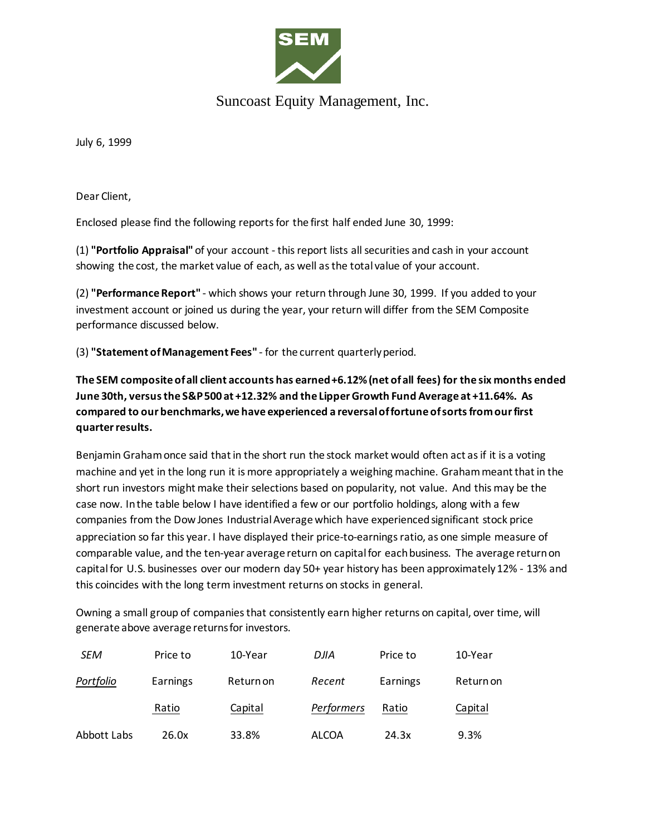

## Suncoast Equity Management, Inc.

July 6, 1999

Dear Client,

Enclosed please find the following reports for the first half ended June 30, 1999:

(1) **"Portfolio Appraisal"** of your account - this report lists all securities and cash in your account showing the cost, the market value of each, as well as the total value of your account.

(2) **"Performance Report"** - which shows your return through June 30, 1999. If you added to your investment account or joined us during the year, your return will differ from the SEM Composite performance discussed below.

(3) **"Statement of Management Fees"** - for the current quarterly period.

**The SEM composite of all client accounts has earned +6.12% (net of all fees) for the six months ended June 30th, versus the S&P 500 at +12.32% and the Lipper Growth Fund Average at +11.64%. As compared to our benchmarks, we have experienced a reversal of fortune of sorts from our first quarter results.** 

Benjamin Graham once said that in the short run the stock market would often act as if it is a voting machine and yet in the long run it is more appropriately a weighing machine. Graham meant that in the short run investors might make their selections based on popularity, not value. And this may be the case now. In the table below I have identified a few or our portfolio holdings, along with a few companies from the Dow Jones Industrial Average which have experienced significant stock price appreciation so far this year. I have displayed their price-to-earnings ratio, as one simple measure of comparable value, and the ten-year average return on capital for each business. The average return on capital for U.S. businesses over our modern day 50+ year history has been approximately 12% - 13% and this coincides with the long term investment returns on stocks in general.

Owning a small group of companies that consistently earn higher returns on capital, over time, will generate above average returns for investors.

| SEM         | Price to | 10-Year   | DJIA         | Price to | 10-Year   |
|-------------|----------|-----------|--------------|----------|-----------|
| Portfolio   | Earnings | Return on | Recent       | Earnings | Return on |
|             | Ratio    | Capital   | Performers   | Ratio    | Capital   |
| Abbott Labs | 26.0x    | 33.8%     | <b>ALCOA</b> | 24.3x    | 9.3%      |